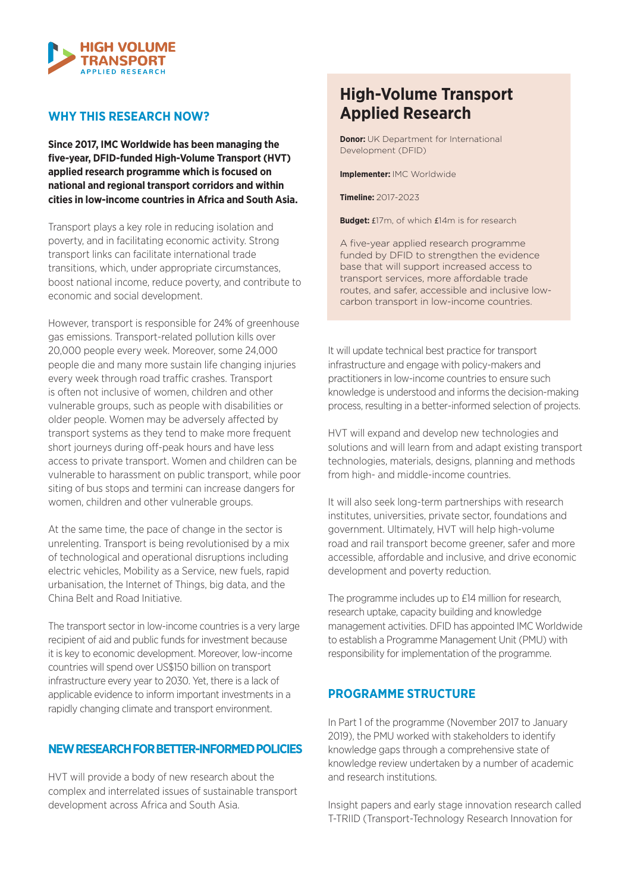

### **WHY THIS RESEARCH NOW?**

**Since 2017, IMC Worldwide has been managing the five-year, DFID-funded High-Volume Transport (HVT) applied research programme which is focused on national and regional transport corridors and within cities in low-income countries in Africa and South Asia.**

Transport plays a key role in reducing isolation and poverty, and in facilitating economic activity. Strong transport links can facilitate international trade transitions, which, under appropriate circumstances, boost national income, reduce poverty, and contribute to economic and social development.

However, transport is responsible for 24% of greenhouse gas emissions. Transport-related pollution kills over 20,000 people every week. Moreover, some 24,000 people die and many more sustain life changing injuries every week through road traffic crashes. Transport is often not inclusive of women, children and other vulnerable groups, such as people with disabilities or older people. Women may be adversely affected by transport systems as they tend to make more frequent short journeys during off-peak hours and have less access to private transport. Women and children can be vulnerable to harassment on public transport, while poor siting of bus stops and termini can increase dangers for women, children and other vulnerable groups.

At the same time, the pace of change in the sector is unrelenting. Transport is being revolutionised by a mix of technological and operational disruptions including electric vehicles, Mobility as a Service, new fuels, rapid urbanisation, the Internet of Things, big data, and the China Belt and Road Initiative.

The transport sector in low-income countries is a very large recipient of aid and public funds for investment because it is key to economic development. Moreover, low-income countries will spend over US\$150 billion on transport infrastructure every year to 2030. Yet, there is a lack of applicable evidence to inform important investments in a rapidly changing climate and transport environment.

#### **NEW RESEARCH FOR BETTER-INFORMED POLICIES**

HVT will provide a body of new research about the complex and interrelated issues of sustainable transport development across Africa and South Asia.

# **High-Volume Transport Applied Research**

**Donor:** UK Department for International Development (DFID)

**Implementer:** IMC Worldwide

**Timeline:** 2017-2023

**Budget:** £17m, of which £14m is for research

A five-year applied research programme funded by DFID to strengthen the evidence base that will support increased access to transport services, more affordable trade routes, and safer, accessible and inclusive lowcarbon transport in low-income countries.

It will update technical best practice for transport infrastructure and engage with policy-makers and practitioners in low-income countries to ensure such knowledge is understood and informs the decision-making process, resulting in a better-informed selection of projects.

HVT will expand and develop new technologies and solutions and will learn from and adapt existing transport technologies, materials, designs, planning and methods from high- and middle-income countries.

It will also seek long-term partnerships with research institutes, universities, private sector, foundations and government. Ultimately, HVT will help high-volume road and rail transport become greener, safer and more accessible, affordable and inclusive, and drive economic development and poverty reduction.

The programme includes up to £14 million for research, research uptake, capacity building and knowledge management activities. DFID has appointed IMC Worldwide to establish a Programme Management Unit (PMU) with responsibility for implementation of the programme.

# **PROGRAMME STRUCTURE**

In Part 1 of the programme (November 2017 to January 2019), the PMU worked with stakeholders to identify knowledge gaps through a comprehensive state of knowledge review undertaken by a number of academic and research institutions.

Insight papers and early stage innovation research called T-TRIID (Transport-Technology Research Innovation for